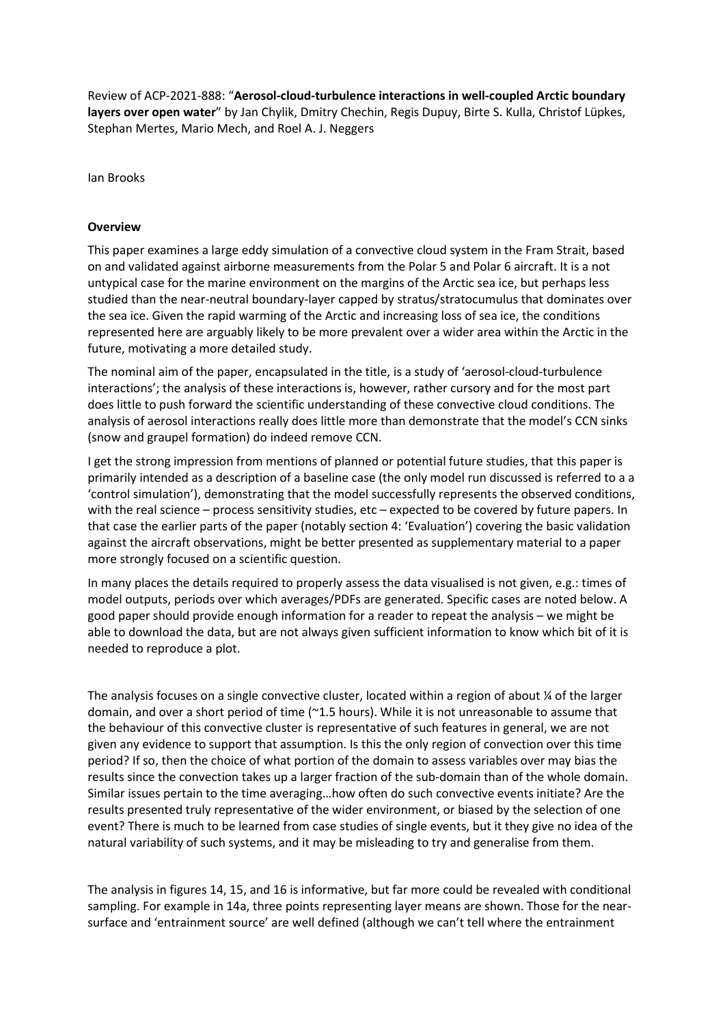Review of ACP-2021-888: "Aerosol-cloud-turbulence interactions in well-coupled Arctic boundary layers over open water" by Jan Chylik, Dmitry Chechin, Regis Dupuy, Birte S. Kulla, Christof Lüpkes, Stephan Mertes, Mario Mech, and Roel A. J. Neggers

Ian Brooks

## Overview

This paper examines a large eddy simulation of a convective cloud system in the Fram Strait, based on and validated against airborne measurements from the Polar 5 and Polar 6 aircraft. It is a not untypical case for the marine environment on the margins of the Arctic sea ice, but perhaps less studied than the near-neutral boundary-layer capped by stratus/stratocumulus that dominates over the sea ice. Given the rapid warming of the Arctic and increasing loss of sea ice, the conditions represented here are arguably likely to be more prevalent over a wider area within the Arctic in the future, motivating a more detailed study.

The nominal aim of the paper, encapsulated in the title, is a study of 'aerosol-cloud-turbulence interactions'; the analysis of these interactions is, however, rather cursory and for the most part does little to push forward the scientific understanding of these convective cloud conditions. The analysis of aerosol interactions really does little more than demonstrate that the model's CCN sinks (snow and graupel formation) do indeed remove CCN.

I get the strong impression from mentions of planned or potential future studies, that this paper is primarily intended as a description of a baseline case (the only model run discussed is referred to a a 'control simulation'), demonstrating that the model successfully represents the observed conditions, with the real science – process sensitivity studies, etc – expected to be covered by future papers. In that case the earlier parts of the paper (notably section 4: 'Evaluation') covering the basic validation against the aircraft observations, might be better presented as supplementary material to a paper more strongly focused on a scientific question.

In many places the details required to properly assess the data visualised is not given, e.g.: times of model outputs, periods over which averages/PDFs are generated. Specific cases are noted below. A good paper should provide enough information for a reader to repeat the analysis – we might be able to download the data, but are not always given sufficient information to know which bit of it is needed to reproduce a plot.

The analysis focuses on a single convective cluster, located within a region of about  $\chi$  of the larger domain, and over a short period of time (~1.5 hours). While it is not unreasonable to assume that the behaviour of this convective cluster is representative of such features in general, we are not given any evidence to support that assumption. Is this the only region of convection over this time period? If so, then the choice of what portion of the domain to assess variables over may bias the results since the convection takes up a larger fraction of the sub-domain than of the whole domain. Similar issues pertain to the time averaging…how often do such convective events initiate? Are the results presented truly representative of the wider environment, or biased by the selection of one event? There is much to be learned from case studies of single events, but it they give no idea of the natural variability of such systems, and it may be misleading to try and generalise from them.

The analysis in figures 14, 15, and 16 is informative, but far more could be revealed with conditional sampling. For example in 14a, three points representing layer means are shown. Those for the nearsurface and 'entrainment source' are well defined (although we can't tell where the entrainment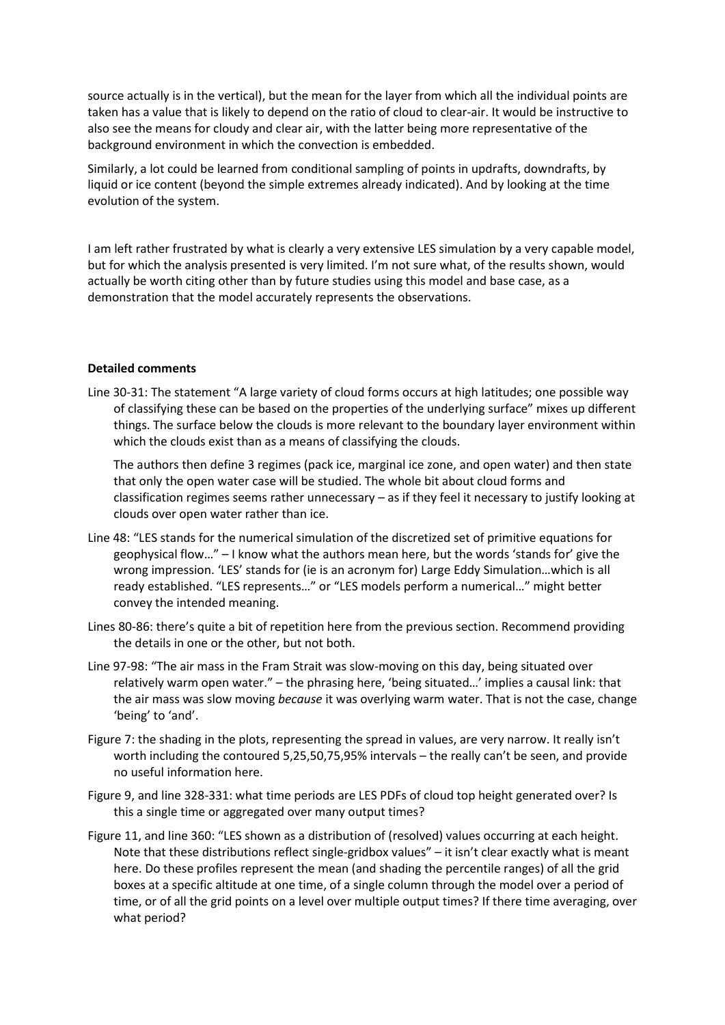source actually is in the vertical), but the mean for the layer from which all the individual points are taken has a value that is likely to depend on the ratio of cloud to clear-air. It would be instructive to also see the means for cloudy and clear air, with the latter being more representative of the background environment in which the convection is embedded.

Similarly, a lot could be learned from conditional sampling of points in updrafts, downdrafts, by liquid or ice content (beyond the simple extremes already indicated). And by looking at the time evolution of the system.

I am left rather frustrated by what is clearly a very extensive LES simulation by a very capable model, but for which the analysis presented is very limited. I'm not sure what, of the results shown, would actually be worth citing other than by future studies using this model and base case, as a demonstration that the model accurately represents the observations.

## Detailed comments

Line 30-31: The statement "A large variety of cloud forms occurs at high latitudes; one possible way of classifying these can be based on the properties of the underlying surface" mixes up different things. The surface below the clouds is more relevant to the boundary layer environment within which the clouds exist than as a means of classifying the clouds.

 The authors then define 3 regimes (pack ice, marginal ice zone, and open water) and then state that only the open water case will be studied. The whole bit about cloud forms and classification regimes seems rather unnecessary – as if they feel it necessary to justify looking at clouds over open water rather than ice.

- Line 48: "LES stands for the numerical simulation of the discretized set of primitive equations for geophysical flow…" – I know what the authors mean here, but the words 'stands for' give the wrong impression. 'LES' stands for (ie is an acronym for) Large Eddy Simulation…which is all ready established. "LES represents…" or "LES models perform a numerical…" might better convey the intended meaning.
- Lines 80-86: there's quite a bit of repetition here from the previous section. Recommend providing the details in one or the other, but not both.
- Line 97-98: "The air mass in the Fram Strait was slow-moving on this day, being situated over relatively warm open water." – the phrasing here, 'being situated…' implies a causal link: that the air mass was slow moving *because* it was overlying warm water. That is not the case, change 'being' to 'and'.
- Figure 7: the shading in the plots, representing the spread in values, are very narrow. It really isn't worth including the contoured 5,25,50,75,95% intervals – the really can't be seen, and provide no useful information here.
- Figure 9, and line 328-331: what time periods are LES PDFs of cloud top height generated over? Is this a single time or aggregated over many output times?
- Figure 11, and line 360: "LES shown as a distribution of (resolved) values occurring at each height. Note that these distributions reflect single-gridbox values" – it isn't clear exactly what is meant here. Do these profiles represent the mean (and shading the percentile ranges) of all the grid boxes at a specific altitude at one time, of a single column through the model over a period of time, or of all the grid points on a level over multiple output times? If there time averaging, over what period?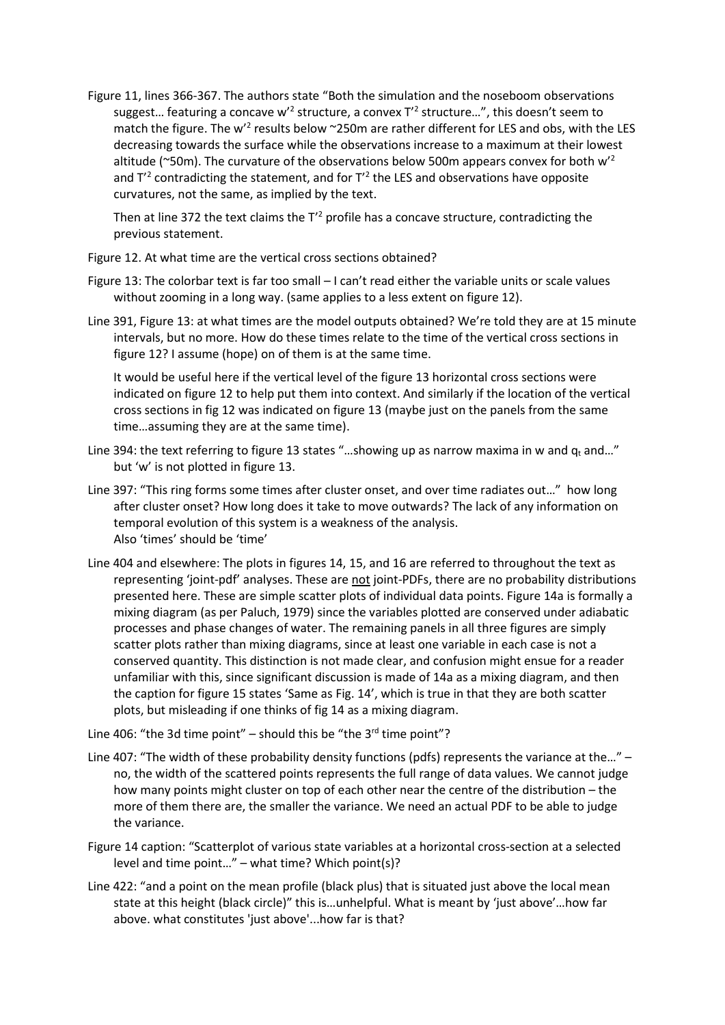Figure 11, lines 366-367. The authors state "Both the simulation and the noseboom observations suggest... featuring a concave w<sup>'2</sup> structure, a convex  $T^2$  structure...", this doesn't seem to match the figure. The w<sup>2</sup> results below ~250m are rather different for LES and obs, with the LES decreasing towards the surface while the observations increase to a maximum at their lowest altitude ( $\degree$ 50m). The curvature of the observations below 500m appears convex for both w<sup>2</sup> and  $T^2$  contradicting the statement, and for  $T^2$  the LES and observations have opposite curvatures, not the same, as implied by the text.

Then at line 372 the text claims the  $T^2$  profile has a concave structure, contradicting the previous statement.

- Figure 12. At what time are the vertical cross sections obtained?
- Figure 13: The colorbar text is far too small I can't read either the variable units or scale values without zooming in a long way. (same applies to a less extent on figure 12).
- Line 391, Figure 13: at what times are the model outputs obtained? We're told they are at 15 minute intervals, but no more. How do these times relate to the time of the vertical cross sections in figure 12? I assume (hope) on of them is at the same time.

 It would be useful here if the vertical level of the figure 13 horizontal cross sections were indicated on figure 12 to help put them into context. And similarly if the location of the vertical cross sections in fig 12 was indicated on figure 13 (maybe just on the panels from the same time…assuming they are at the same time).

- Line 394: the text referring to figure 13 states "...showing up as narrow maxima in w and  $q_t$  and..." but 'w' is not plotted in figure 13.
- Line 397: "This ring forms some times after cluster onset, and over time radiates out…" how long after cluster onset? How long does it take to move outwards? The lack of any information on temporal evolution of this system is a weakness of the analysis. Also 'times' should be 'time'
- Line 404 and elsewhere: The plots in figures 14, 15, and 16 are referred to throughout the text as representing 'joint-pdf' analyses. These are not joint-PDFs, there are no probability distributions presented here. These are simple scatter plots of individual data points. Figure 14a is formally a mixing diagram (as per Paluch, 1979) since the variables plotted are conserved under adiabatic processes and phase changes of water. The remaining panels in all three figures are simply scatter plots rather than mixing diagrams, since at least one variable in each case is not a conserved quantity. This distinction is not made clear, and confusion might ensue for a reader unfamiliar with this, since significant discussion is made of 14a as a mixing diagram, and then the caption for figure 15 states 'Same as Fig. 14', which is true in that they are both scatter plots, but misleading if one thinks of fig 14 as a mixing diagram.

Line 406: "the 3d time point" – should this be "the  $3^{rd}$  time point"?

- Line 407: "The width of these probability density functions (pdfs) represents the variance at the…" no, the width of the scattered points represents the full range of data values. We cannot judge how many points might cluster on top of each other near the centre of the distribution – the more of them there are, the smaller the variance. We need an actual PDF to be able to judge the variance.
- Figure 14 caption: "Scatterplot of various state variables at a horizontal cross-section at a selected level and time point…" – what time? Which point(s)?
- Line 422: "and a point on the mean profile (black plus) that is situated just above the local mean state at this height (black circle)" this is…unhelpful. What is meant by 'just above'…how far above. what constitutes 'just above'...how far is that?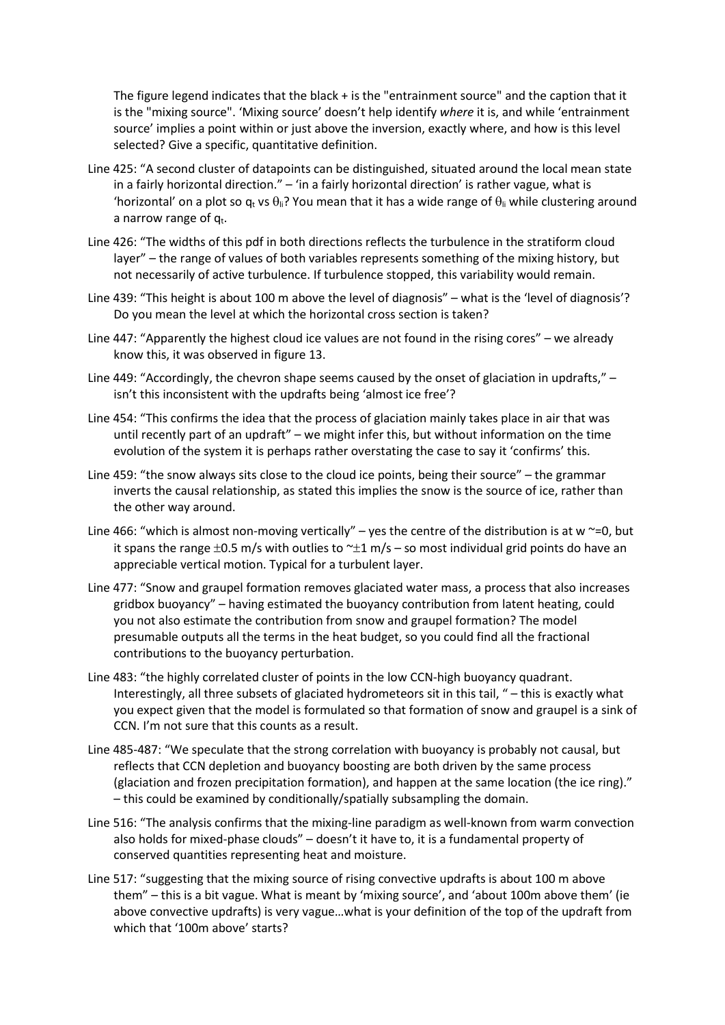The figure legend indicates that the black + is the "entrainment source" and the caption that it is the "mixing source". 'Mixing source' doesn't help identify where it is, and while 'entrainment source' implies a point within or just above the inversion, exactly where, and how is this level selected? Give a specific, quantitative definition.

- Line 425: "A second cluster of datapoints can be distinguished, situated around the local mean state in a fairly horizontal direction." – 'in a fairly horizontal direction' is rather vague, what is 'horizontal' on a plot so q<sub>t</sub> vs  $\theta_{ii}$ ? You mean that it has a wide range of  $\theta_{ii}$  while clustering around a narrow range of  $q_t$ .
- Line 426: "The widths of this pdf in both directions reflects the turbulence in the stratiform cloud layer" – the range of values of both variables represents something of the mixing history, but not necessarily of active turbulence. If turbulence stopped, this variability would remain.
- Line 439: "This height is about 100 m above the level of diagnosis" what is the 'level of diagnosis'? Do you mean the level at which the horizontal cross section is taken?
- Line 447: "Apparently the highest cloud ice values are not found in the rising cores" we already know this, it was observed in figure 13.
- Line 449: "Accordingly, the chevron shape seems caused by the onset of glaciation in updrafts," isn't this inconsistent with the updrafts being 'almost ice free'?
- Line 454: "This confirms the idea that the process of glaciation mainly takes place in air that was until recently part of an updraft" – we might infer this, but without information on the time evolution of the system it is perhaps rather overstating the case to say it 'confirms' this.
- Line 459: "the snow always sits close to the cloud ice points, being their source" the grammar inverts the causal relationship, as stated this implies the snow is the source of ice, rather than the other way around.
- Line 466: "which is almost non-moving vertically" yes the centre of the distribution is at w  $\approx$ =0, but it spans the range  $\pm 0.5$  m/s with outlies to  $\pm 1$  m/s – so most individual grid points do have an appreciable vertical motion. Typical for a turbulent layer.
- Line 477: "Snow and graupel formation removes glaciated water mass, a process that also increases gridbox buoyancy" – having estimated the buoyancy contribution from latent heating, could you not also estimate the contribution from snow and graupel formation? The model presumable outputs all the terms in the heat budget, so you could find all the fractional contributions to the buoyancy perturbation.
- Line 483: "the highly correlated cluster of points in the low CCN-high buoyancy quadrant. Interestingly, all three subsets of glaciated hydrometeors sit in this tail, " – this is exactly what you expect given that the model is formulated so that formation of snow and graupel is a sink of CCN. I'm not sure that this counts as a result.
- Line 485-487: "We speculate that the strong correlation with buoyancy is probably not causal, but reflects that CCN depletion and buoyancy boosting are both driven by the same process (glaciation and frozen precipitation formation), and happen at the same location (the ice ring)." – this could be examined by conditionally/spatially subsampling the domain.
- Line 516: "The analysis confirms that the mixing-line paradigm as well-known from warm convection also holds for mixed-phase clouds" – doesn't it have to, it is a fundamental property of conserved quantities representing heat and moisture.
- Line 517: "suggesting that the mixing source of rising convective updrafts is about 100 m above them" – this is a bit vague. What is meant by 'mixing source', and 'about 100m above them' (ie above convective updrafts) is very vague…what is your definition of the top of the updraft from which that '100m above' starts?